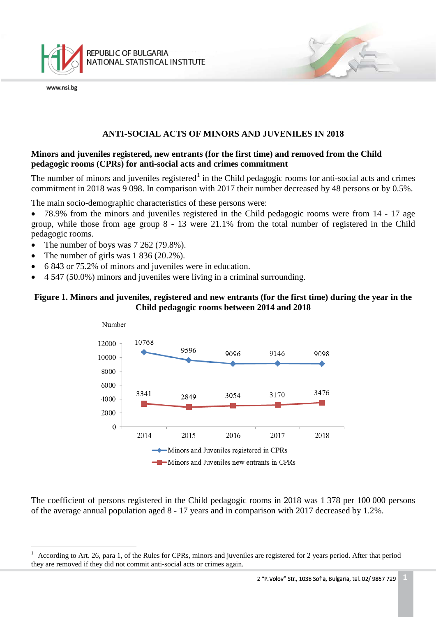

## **ANTI-SOCIAL ACTS OF MINORS AND JUVENILES IN 2018**

### **Minors and juveniles registered, new entrants (for the first time) and removed from the Child pedagogic rooms (CPRs) for anti-social acts and crimes commitment**

The number of minors and juveniles registered<sup>[1](#page-0-0)</sup> in the Child pedagogic rooms for anti-social acts and crimes commitment in 2018 was 9 098. In comparison with 2017 their number decreased by 48 persons or by 0.5%.

The main socio-demographic characteristics of these persons were:

• 78.9% from the minors and juveniles registered in the Child pedagogic rooms were from 14 - 17 age group, while those from age group 8 - 13 were 21.1% from the total number of registered in the Child pedagogic rooms.

- The number of boys was 7 262 (79.8%).
- The number of girls was  $1\,836\,(20.2\%)$ .
- 6 843 or 75.2% of minors and juveniles were in education.
- 4 547 (50.0%) minors and juveniles were living in a criminal surrounding.

## **Figure 1. Minors and juveniles, registered and new entrants (for the first time) during the year in the Child pedagogic rooms between 2014 and 2018**



The coefficient of persons registered in the Child pedagogic rooms in 2018 was 1 378 per 100 000 persons of the average annual population aged 8 - 17 years and in comparison with 2017 decreased by 1.2%.

<span id="page-0-0"></span><sup>1</sup> According to Art. 26, para 1, of the Rules for CPRs, minors and juveniles are registered for 2 years period. After that period they are removed if they did not commit anti-social acts or crimes again.  $\frac{1}{1}$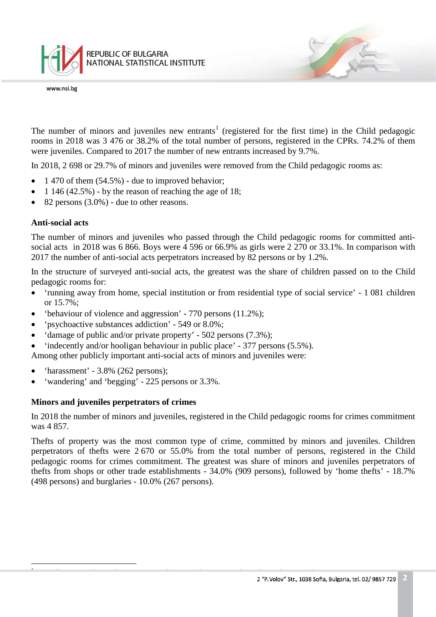

The number of minors and juveniles new entrants<sup>[1](#page-1-0)</sup> (registered for the first time) in the Child pedagogic rooms in 2018 was 3 476 or 38.2% of the total number of persons, registered in the CPRs. 74.2% of them were juveniles. Compared to 2017 the number of new entrants increased by 9.7%.

In 2018, 2 698 or 29.7% of minors and juveniles were removed from the Child pedagogic rooms as:

- 1 470 of them  $(54.5\%)$  due to improved behavior;
- 1 146 (42.5%) by the reason of reaching the age of 18;
- 82 persons  $(3.0\%)$  due to other reasons.

#### **Anti-social acts**

<span id="page-1-0"></span> $\frac{1}{1}$ 

The number of minors and juveniles who passed through the Child pedagogic rooms for committed antisocial acts in 2018 was 6 866. Boys were 4 596 or 66.9% as girls were 2 270 or 33.1%. In comparison with 2017 the number of anti-social acts perpetrators increased by 82 persons or by 1.2%.

In the structure of surveyed anti-social acts, the greatest was the share of children passed on to the Child pedagogic rooms for:

- 'running away from home, special institution or from residential type of social service' 1 081 children or 15.7%;
- 'behaviour of violence and aggression' 770 persons (11.2%);
- 'psychoactive substances addiction' 549 or 8.0%;
- 'damage of public and/or private property' 502 persons (7.3%);
- 'indecently and/or hooligan behaviour in public place' 377 persons (5.5%).

Among other publicly important anti-social acts of minors and juveniles were:

- 'harassment' 3.8% (262 persons);
- 'wandering' and 'begging' 225 persons or 3.3%.

#### **Minors and juveniles perpetrators of crimes**

In 2018 the number of minors and juveniles, registered in the Child pedagogic rooms for crimes commitment was 4 857.

Thefts of property was the most common type of crime, committed by minors and juveniles. Children perpetrators of thefts were 2 670 or 55.0% from the total number of persons, registered in the Child pedagogic rooms for crimes commitment. The greatest was share of minors and juveniles perpetrators of thefts from shops or other trade establishments - 34.0% (909 persons), followed by 'home thefts' - 18.7% (498 persons) and burglaries - 10.0% (267 persons).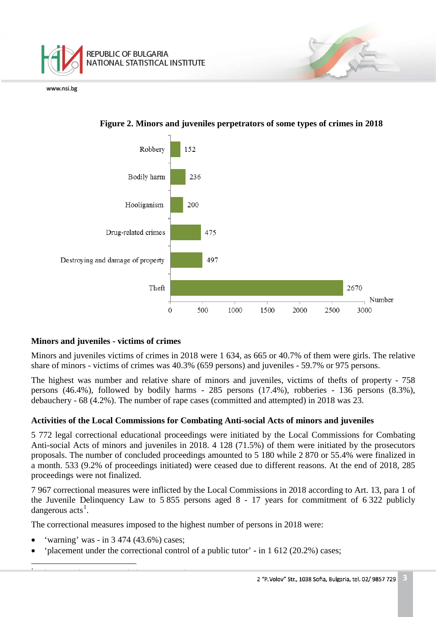



# **Figure 2. Minors and juveniles perpetrators of some types of crimes in 2018**

# **Minors and juveniles - victims of crimes**

Minors and juveniles victims of crimes in 2018 were 1 634, as 665 or 40.7% of them were girls. The relative share of minors - victims of crimes was 40.3% (659 persons) and juveniles - 59.7% or 975 persons.

The highest was number and relative share of minors and juveniles, victims of thefts of property - 758 persons (46.4%), followed by bodily harms - 285 persons (17.4%), robberies - 136 persons (8.3%), debauchery - 68 (4.2%). The number of rape cases (committed and attempted) in 2018 was 23.

# **Activities of the Local Commissions for Combating Anti-social Acts of minors and juveniles**

5 772 legal correctional educational proceedings were initiated by the Local Commissions for Combating Anti-social Acts of minors and juveniles in 2018. 4 128 (71.5%) of them were initiated by the prosecutors proposals. The number of concluded proceedings amounted to 5 180 while 2 870 or 55.4% were finalized in a month. 533 (9.2% of proceedings initiated) were ceased due to different reasons. At the end of 2018, 285 proceedings were not finalized.

7 967 correctional measures were inflicted by the Local Commissions in 2018 according to Art. 13, para 1 of the Juvenile Delinquency Law to 5 855 persons aged 8 - 17 years for commitment of 6 322 publicly dangerous  $\arctan s<sup>1</sup>$  $\arctan s<sup>1</sup>$  $\arctan s<sup>1</sup>$ .

The correctional measures imposed to the highest number of persons in 2018 were:

• 'warning' was - in 3 474 (43.6%) cases;

 $\frac{1}{1}$ 

<span id="page-2-0"></span><sup>1</sup> Incl. anti-social acts, crimes and administrative violations.

• 'placement under the correctional control of a public tutor' - in 1 612 (20.2%) cases;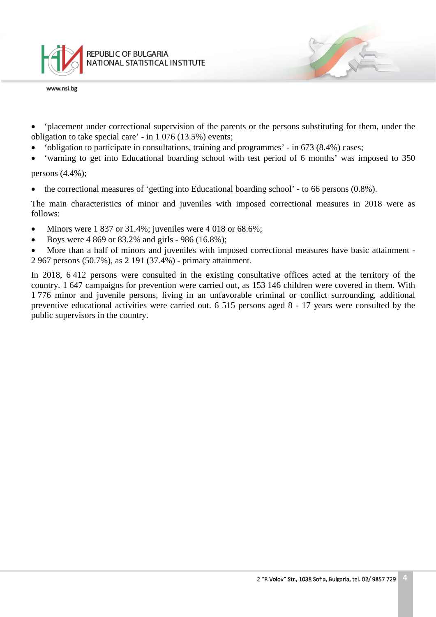

- 'placement under correctional supervision of the parents or the persons substituting for them, under the obligation to take special care' - in 1 076 (13.5%) events;
- 'obligation to participate in consultations, training and programmes' in 673 (8.4%) cases;
- 'warning to get into Educational boarding school with test period of 6 months' was imposed to 350

persons (4.4%);

• the correctional measures of 'getting into Educational boarding school' - to 66 persons (0.8%).

The main characteristics of minor and juveniles with imposed correctional measures in 2018 were as follows:

- Minors were  $1837$  or  $31.4\%$ ; juveniles were  $4018$  or  $68.6\%$ ;
- Boys were 4 869 or 83.2% and girls 986 (16.8%);

• More than a half of minors and juveniles with imposed correctional measures have basic attainment - 2 967 persons (50.7%), as 2 191 (37.4%) - primary attainment.

In 2018, 6.412 persons were consulted in the existing consultative offices acted at the territory of the country. 1 647 campaigns for prevention were carried out, as 153 146 children were covered in them. With 1 776 minor and juvenile persons, living in an unfavorable criminal or conflict surrounding, additional preventive educational activities were carried out. 6 515 persons aged 8 - 17 years were consulted by the public supervisors in the country.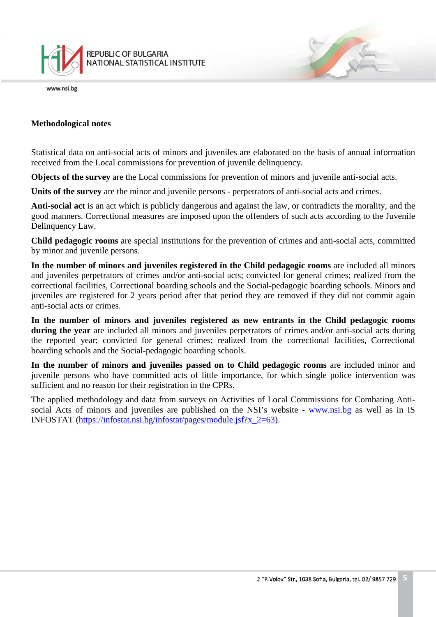

#### **Methodological notes**

Statistical data on anti-social acts of minors and juveniles are elaborated on the basis of annual information received from the Local commissions for prevention of juvenile delinquency.

**Objects of the survey** are the Local commissions for prevention of minors and juvenile anti-social acts.

**Units of the survey** are the minor and juvenile persons - perpetrators of anti-social acts and crimes.

**Anti-social act** is an act which is publicly dangerous and against the law, or contradicts the morality, and the good manners. Correctional measures are imposed upon the offenders of such acts according to the Juvenile Delinquency Law.

**Child pedagogic rooms** are special institutions for the prevention of crimes and anti-social acts, committed by minor and juvenile persons.

**In the number of minors and juveniles registered in the Child pedagogic rooms** are included all minors and juveniles perpetrators of crimes and/or anti-social acts; convicted for general crimes; realized from the correctional facilities, Correctional boarding schools and the Social-pedagogic boarding schools. Minors and juveniles are registered for 2 years period after that period they are removed if they did not commit again anti-social acts or crimes.

**In the number of minors and juveniles registered as new entrants in the Child pedagogic rooms during the year** are included all minors and juveniles perpetrators of crimes and/or anti-social acts during the reported year; convicted for general crimes; realized from the correctional facilities, Correctional boarding schools and the Social-pedagogic boarding schools.

**In the number of minors and juveniles passed on to Child pedagogic rooms** are included minor and juvenile persons who have committed acts of little importance, for which single police intervention was sufficient and no reason for their registration in the CPRs.

The applied methodology and data from surveys on Activities of Local Commissions for Combating Antisocial Acts of minors and juveniles are published on the NSI's website - [www.nsi.bg](http://www.nsi.bg/) as well as in IS INFOSTAT [\(https://infostat.nsi.bg/infostat/pages/module.jsf?x\\_2=63\)](https://infostat.nsi.bg/infostat/pages/module.jsf?x_2=63).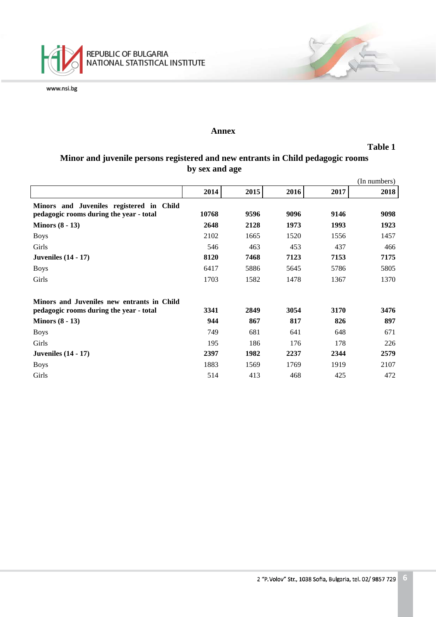

#### **Annex**

#### **Table 1**

# **Minor and juvenile persons registered and new entrants in Child pedagogic rooms by sex and age**

|                                            |       |      |      |      | (In numbers) |
|--------------------------------------------|-------|------|------|------|--------------|
|                                            | 2014  | 2015 | 2016 | 2017 | 2018         |
| Minors and Juveniles registered in Child   |       |      |      |      |              |
| pedagogic rooms during the year - total    | 10768 | 9596 | 9096 | 9146 | 9098         |
| Minors $(8 - 13)$                          | 2648  | 2128 | 1973 | 1993 | 1923         |
| <b>Boys</b>                                | 2102  | 1665 | 1520 | 1556 | 1457         |
| Girls                                      | 546   | 463  | 453  | 437  | 466          |
| <b>Juveniles</b> (14 - 17)                 | 8120  | 7468 | 7123 | 7153 | 7175         |
| <b>Boys</b>                                | 6417  | 5886 | 5645 | 5786 | 5805         |
| Girls                                      | 1703  | 1582 | 1478 | 1367 | 1370         |
| Minors and Juveniles new entrants in Child |       |      |      |      |              |
| pedagogic rooms during the year - total    | 3341  | 2849 | 3054 | 3170 | 3476         |
| Minors $(8 - 13)$                          | 944   | 867  | 817  | 826  | 897          |
| <b>Boys</b>                                | 749   | 681  | 641  | 648  | 671          |
| Girls                                      | 195   | 186  | 176  | 178  | 226          |
| <b>Juveniles</b> (14 - 17)                 | 2397  | 1982 | 2237 | 2344 | 2579         |
| <b>Boys</b>                                | 1883  | 1569 | 1769 | 1919 | 2107         |
| Girls                                      | 514   | 413  | 468  | 425  | 472          |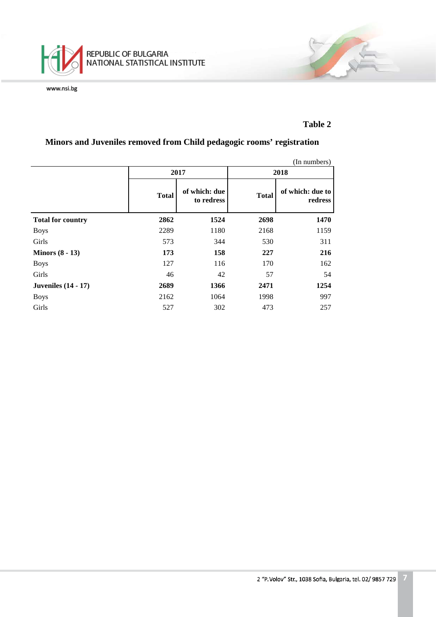

# **Table 2**

# **Minors and Juveniles removed from Child pedagogic rooms' registration**

|                            | (In numbers) |                             |              |                             |  |  |  |  |
|----------------------------|--------------|-----------------------------|--------------|-----------------------------|--|--|--|--|
|                            |              | 2017                        | 2018         |                             |  |  |  |  |
|                            | <b>Total</b> | of which: due<br>to redress | <b>Total</b> | of which: due to<br>redress |  |  |  |  |
| <b>Total for country</b>   | 2862         | 1524                        | 2698         | 1470                        |  |  |  |  |
| <b>Boys</b>                | 2289         | 1180                        | 2168         | 1159                        |  |  |  |  |
| Girls                      | 573          | 344                         | 530          | 311                         |  |  |  |  |
| Minors $(8 - 13)$          | 173          | 158                         | 227          | 216                         |  |  |  |  |
| <b>Boys</b>                | 127          | 116                         | 170          | 162                         |  |  |  |  |
| Girls                      | 46           | 42                          | 57           | 54                          |  |  |  |  |
| <b>Juveniles</b> (14 - 17) | 2689         | 1366                        | 2471         | 1254                        |  |  |  |  |
| <b>Boys</b>                | 2162         | 1064                        | 1998         | 997                         |  |  |  |  |
| Girls                      | 527          | 302                         | 473          | 257                         |  |  |  |  |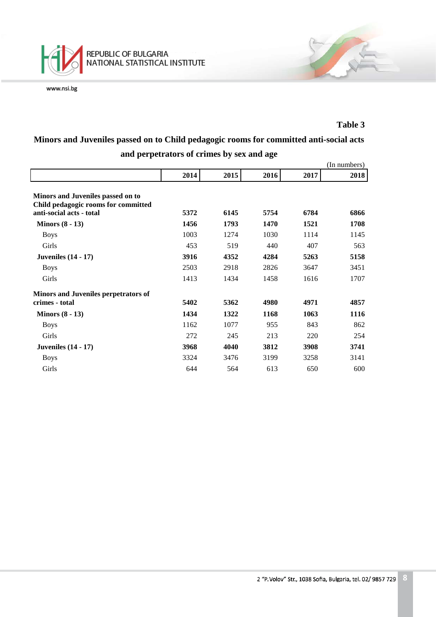

## **Table 3**

# **Minors and Juveniles passed on to Child pedagogic rooms for committed anti-social acts and perpetrators of crimes by sex and age**

|                                                                          |      |      |      |      | (In numbers) |
|--------------------------------------------------------------------------|------|------|------|------|--------------|
|                                                                          | 2014 | 2015 | 2016 | 2017 | 2018         |
| Minors and Juveniles passed on to<br>Child pedagogic rooms for committed |      |      |      |      |              |
| anti-social acts - total                                                 | 5372 | 6145 | 5754 | 6784 | 6866         |
| Minors $(8 - 13)$                                                        | 1456 | 1793 | 1470 | 1521 | 1708         |
| <b>Boys</b>                                                              | 1003 | 1274 | 1030 | 1114 | 1145         |
| Girls                                                                    | 453  | 519  | 440  | 407  | 563          |
| <b>Juveniles</b> (14 - 17)                                               | 3916 | 4352 | 4284 | 5263 | 5158         |
| <b>Boys</b>                                                              | 2503 | 2918 | 2826 | 3647 | 3451         |
| Girls                                                                    | 1413 | 1434 | 1458 | 1616 | 1707         |
| Minors and Juveniles perpetrators of                                     |      |      |      |      |              |
| crimes - total                                                           | 5402 | 5362 | 4980 | 4971 | 4857         |
| Minors $(8 - 13)$                                                        | 1434 | 1322 | 1168 | 1063 | 1116         |
| <b>Boys</b>                                                              | 1162 | 1077 | 955  | 843  | 862          |
| Girls                                                                    | 272  | 245  | 213  | 220  | 254          |
| <b>Juveniles</b> (14 - 17)                                               | 3968 | 4040 | 3812 | 3908 | 3741         |
| <b>Boys</b>                                                              | 3324 | 3476 | 3199 | 3258 | 3141         |
| Girls                                                                    | 644  | 564  | 613  | 650  | 600          |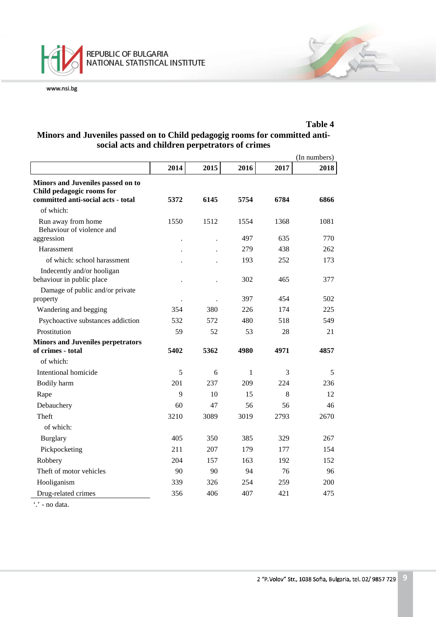

## **Table 4 Minors and Juveniles passed on to Child pedagogig rooms for committed antisocial acts and children perpetrators of crimes**

|                                                                                                      |      |      | (In numbers) |      |      |
|------------------------------------------------------------------------------------------------------|------|------|--------------|------|------|
|                                                                                                      | 2014 | 2015 | 2016         | 2017 | 2018 |
| Minors and Juveniles passed on to<br>Child pedagogic rooms for<br>committed anti-social acts - total | 5372 | 6145 | 5754         | 6784 | 6866 |
| of which:                                                                                            |      |      |              |      |      |
| Run away from home<br>Behaviour of violence and                                                      | 1550 | 1512 | 1554         | 1368 | 1081 |
| aggression                                                                                           |      |      | 497          | 635  | 770  |
| Harassment                                                                                           |      |      | 279          | 438  | 262  |
| of which: school harassment                                                                          |      |      | 193          | 252  | 173  |
| Indecently and/or hooligan<br>behaviour in public place                                              |      |      | 302          | 465  | 377  |
| Damage of public and/or private<br>property                                                          |      |      | 397          | 454  | 502  |
| Wandering and begging                                                                                | 354  | 380  | 226          | 174  | 225  |
| Psychoactive substances addiction                                                                    | 532  | 572  | 480          | 518  | 549  |
| Prostitution                                                                                         | 59   | 52   | 53           | 28   | 21   |
| <b>Minors and Juveniles perpetrators</b>                                                             |      |      |              |      |      |
| of crimes - total                                                                                    | 5402 | 5362 | 4980         | 4971 | 4857 |
| of which:                                                                                            |      |      |              |      |      |
| Intentional homicide                                                                                 | 5    | 6    | $\mathbf{1}$ | 3    | 5    |
| Bodily harm                                                                                          | 201  | 237  | 209          | 224  | 236  |
| Rape                                                                                                 | 9    | 10   | 15           | 8    | 12   |
| Debauchery                                                                                           | 60   | 47   | 56           | 56   | 46   |
| Theft                                                                                                | 3210 | 3089 | 3019         | 2793 | 2670 |
| of which:                                                                                            |      |      |              |      |      |
| Burglary                                                                                             | 405  | 350  | 385          | 329  | 267  |
| Pickpocketing                                                                                        | 211  | 207  | 179          | 177  | 154  |
| Robbery                                                                                              | 204  | 157  | 163          | 192  | 152  |
| Theft of motor vehicles                                                                              | 90   | 90   | 94           | 76   | 96   |
| Hooliganism                                                                                          | 339  | 326  | 254          | 259  | 200  |
| Drug-related crimes                                                                                  | 356  | 406  | 407          | 421  | 475  |

'.' - no data.